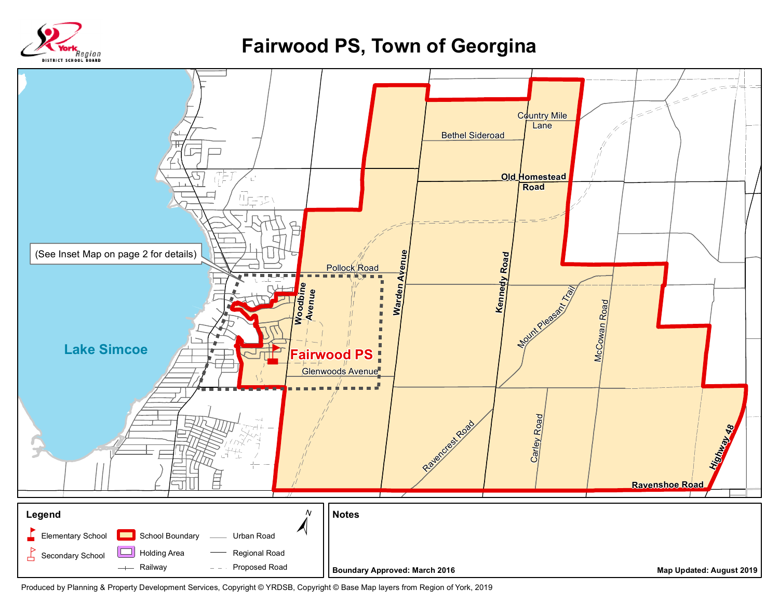

## **Fairwood PS, Town of Georgina**



Produced by Planning & Property Development Services, Copyright © YRDSB, Copyright © Base Map layers from Region of York, 2019